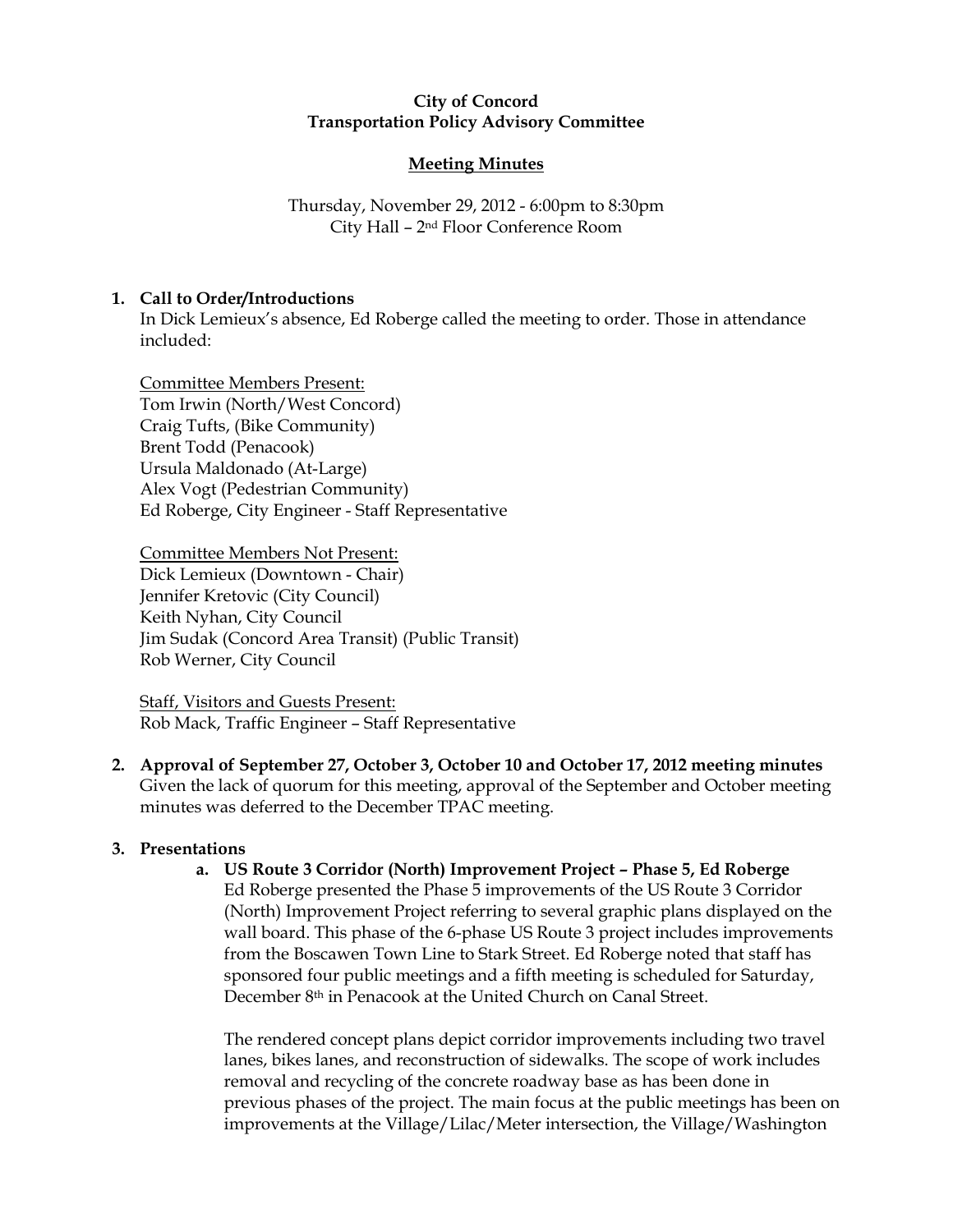## City of Concord Transportation Policy Advisory Committee

# Meeting Minutes

Thursday, November 29, 2012 - 6:00pm to 8:30pm City Hall – 2nd Floor Conference Room

# 1. Call to Order/Introductions

In Dick Lemieux's absence, Ed Roberge called the meeting to order. Those in attendance included:

Committee Members Present: Tom Irwin (North/West Concord) Craig Tufts, (Bike Community) Brent Todd (Penacook) Ursula Maldonado (At-Large) Alex Vogt (Pedestrian Community) Ed Roberge, City Engineer - Staff Representative

Committee Members Not Present: Dick Lemieux (Downtown - Chair) Jennifer Kretovic (City Council) Keith Nyhan, City Council Jim Sudak (Concord Area Transit) (Public Transit) Rob Werner, City Council

Staff, Visitors and Guests Present: Rob Mack, Traffic Engineer – Staff Representative

2. Approval of September 27, October 3, October 10 and October 17, 2012 meeting minutes Given the lack of quorum for this meeting, approval of the September and October meeting minutes was deferred to the December TPAC meeting.

# 3. Presentations

a. US Route 3 Corridor (North) Improvement Project – Phase 5, Ed Roberge

Ed Roberge presented the Phase 5 improvements of the US Route 3 Corridor (North) Improvement Project referring to several graphic plans displayed on the wall board. This phase of the 6-phase US Route 3 project includes improvements from the Boscawen Town Line to Stark Street. Ed Roberge noted that staff has sponsored four public meetings and a fifth meeting is scheduled for Saturday, December 8<sup>th</sup> in Penacook at the United Church on Canal Street.

The rendered concept plans depict corridor improvements including two travel lanes, bikes lanes, and reconstruction of sidewalks. The scope of work includes removal and recycling of the concrete roadway base as has been done in previous phases of the project. The main focus at the public meetings has been on improvements at the Village/Lilac/Meter intersection, the Village/Washington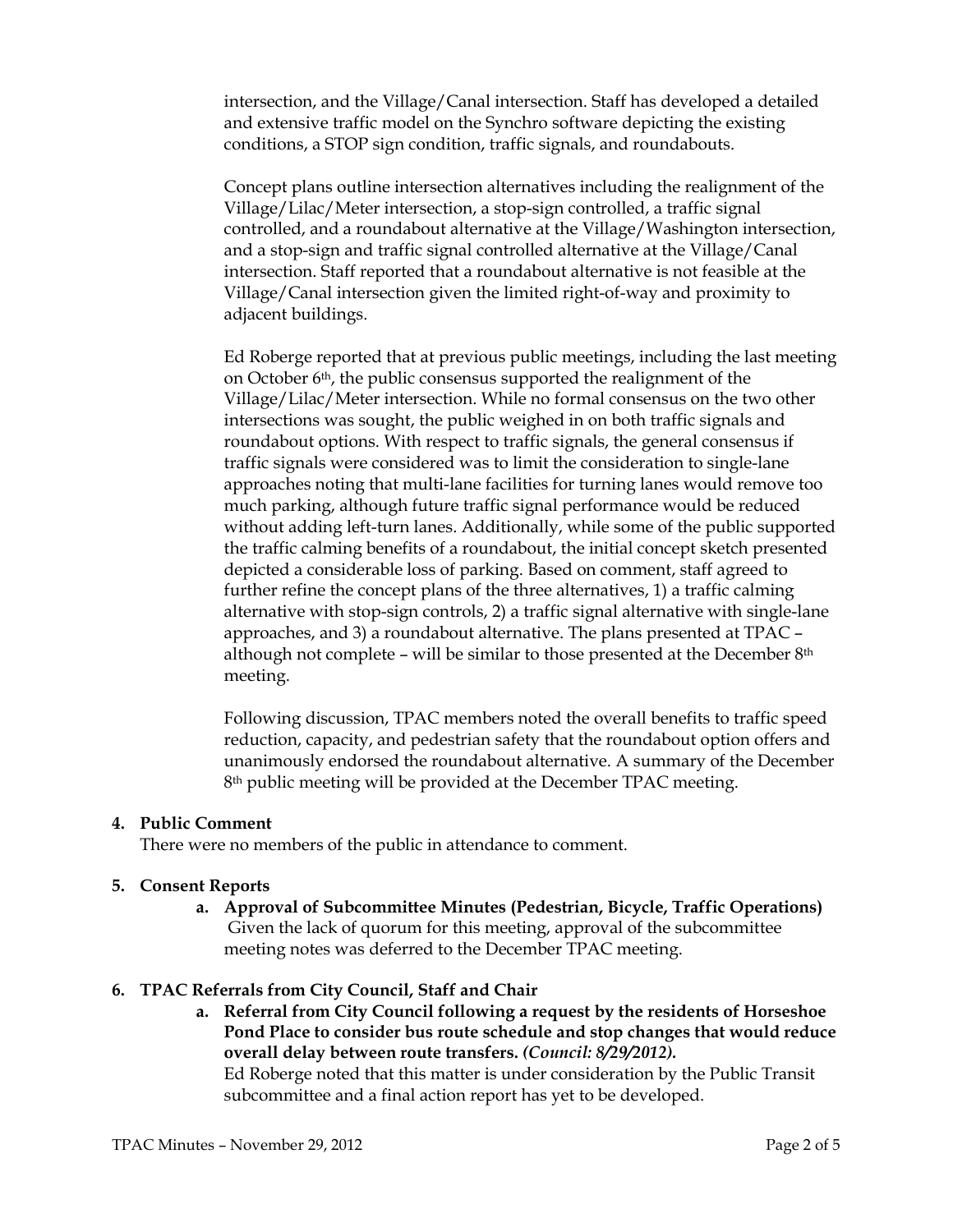intersection, and the Village/Canal intersection. Staff has developed a detailed and extensive traffic model on the Synchro software depicting the existing conditions, a STOP sign condition, traffic signals, and roundabouts.

Concept plans outline intersection alternatives including the realignment of the Village/Lilac/Meter intersection, a stop-sign controlled, a traffic signal controlled, and a roundabout alternative at the Village/Washington intersection, and a stop-sign and traffic signal controlled alternative at the Village/Canal intersection. Staff reported that a roundabout alternative is not feasible at the Village/Canal intersection given the limited right-of-way and proximity to adjacent buildings.

Ed Roberge reported that at previous public meetings, including the last meeting on October 6th, the public consensus supported the realignment of the Village/Lilac/Meter intersection. While no formal consensus on the two other intersections was sought, the public weighed in on both traffic signals and roundabout options. With respect to traffic signals, the general consensus if traffic signals were considered was to limit the consideration to single-lane approaches noting that multi-lane facilities for turning lanes would remove too much parking, although future traffic signal performance would be reduced without adding left-turn lanes. Additionally, while some of the public supported the traffic calming benefits of a roundabout, the initial concept sketch presented depicted a considerable loss of parking. Based on comment, staff agreed to further refine the concept plans of the three alternatives, 1) a traffic calming alternative with stop-sign controls, 2) a traffic signal alternative with single-lane approaches, and 3) a roundabout alternative. The plans presented at TPAC – although not complete – will be similar to those presented at the December 8th meeting.

Following discussion, TPAC members noted the overall benefits to traffic speed reduction, capacity, and pedestrian safety that the roundabout option offers and unanimously endorsed the roundabout alternative. A summary of the December 8th public meeting will be provided at the December TPAC meeting.

#### 4. Public Comment

There were no members of the public in attendance to comment.

#### 5. Consent Reports

a. Approval of Subcommittee Minutes (Pedestrian, Bicycle, Traffic Operations) Given the lack of quorum for this meeting, approval of the subcommittee meeting notes was deferred to the December TPAC meeting.

#### 6. TPAC Referrals from City Council, Staff and Chair

a. Referral from City Council following a request by the residents of Horseshoe Pond Place to consider bus route schedule and stop changes that would reduce overall delay between route transfers. (Council: 8/29/2012). Ed Roberge noted that this matter is under consideration by the Public Transit

subcommittee and a final action report has yet to be developed.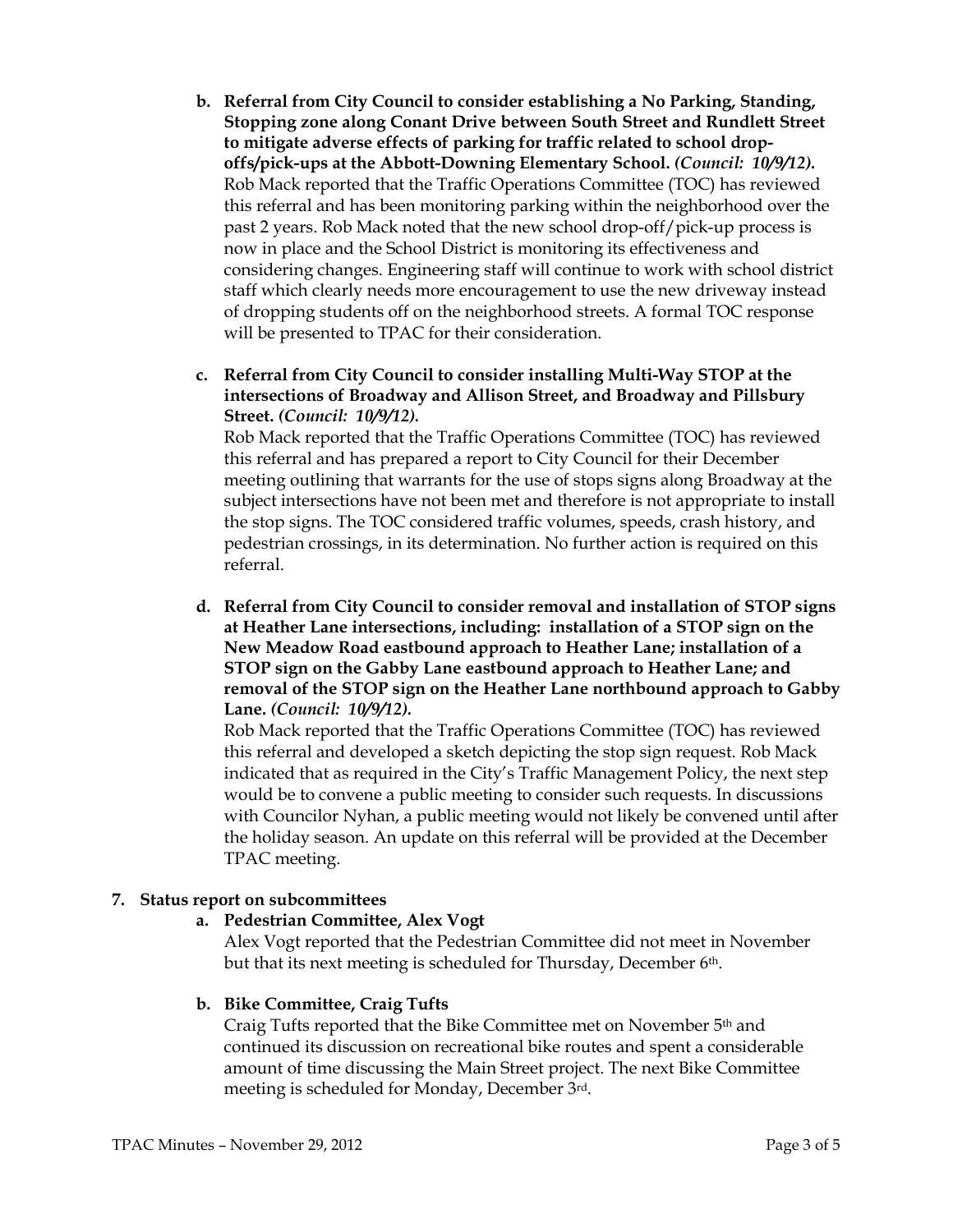- b. Referral from City Council to consider establishing a No Parking, Standing, Stopping zone along Conant Drive between South Street and Rundlett Street to mitigate adverse effects of parking for traffic related to school dropoffs/pick-ups at the Abbott-Downing Elementary School. (Council: 10/9/12). Rob Mack reported that the Traffic Operations Committee (TOC) has reviewed this referral and has been monitoring parking within the neighborhood over the past 2 years. Rob Mack noted that the new school drop-off/pick-up process is now in place and the School District is monitoring its effectiveness and considering changes. Engineering staff will continue to work with school district staff which clearly needs more encouragement to use the new driveway instead of dropping students off on the neighborhood streets. A formal TOC response will be presented to TPAC for their consideration.
- c. Referral from City Council to consider installing Multi-Way STOP at the intersections of Broadway and Allison Street, and Broadway and Pillsbury Street. (Council: 10/9/12).

Rob Mack reported that the Traffic Operations Committee (TOC) has reviewed this referral and has prepared a report to City Council for their December meeting outlining that warrants for the use of stops signs along Broadway at the subject intersections have not been met and therefore is not appropriate to install the stop signs. The TOC considered traffic volumes, speeds, crash history, and pedestrian crossings, in its determination. No further action is required on this referral.

d. Referral from City Council to consider removal and installation of STOP signs at Heather Lane intersections, including: installation of a STOP sign on the New Meadow Road eastbound approach to Heather Lane; installation of a STOP sign on the Gabby Lane eastbound approach to Heather Lane; and removal of the STOP sign on the Heather Lane northbound approach to Gabby Lane. (Council: 10/9/12).

Rob Mack reported that the Traffic Operations Committee (TOC) has reviewed this referral and developed a sketch depicting the stop sign request. Rob Mack indicated that as required in the City's Traffic Management Policy, the next step would be to convene a public meeting to consider such requests. In discussions with Councilor Nyhan, a public meeting would not likely be convened until after the holiday season. An update on this referral will be provided at the December TPAC meeting.

# 7. Status report on subcommittees

# a. Pedestrian Committee, Alex Vogt

Alex Vogt reported that the Pedestrian Committee did not meet in November but that its next meeting is scheduled for Thursday, December 6<sup>th</sup>.

#### b. Bike Committee, Craig Tufts

Craig Tufts reported that the Bike Committee met on November 5th and continued its discussion on recreational bike routes and spent a considerable amount of time discussing the Main Street project. The next Bike Committee meeting is scheduled for Monday, December 3rd.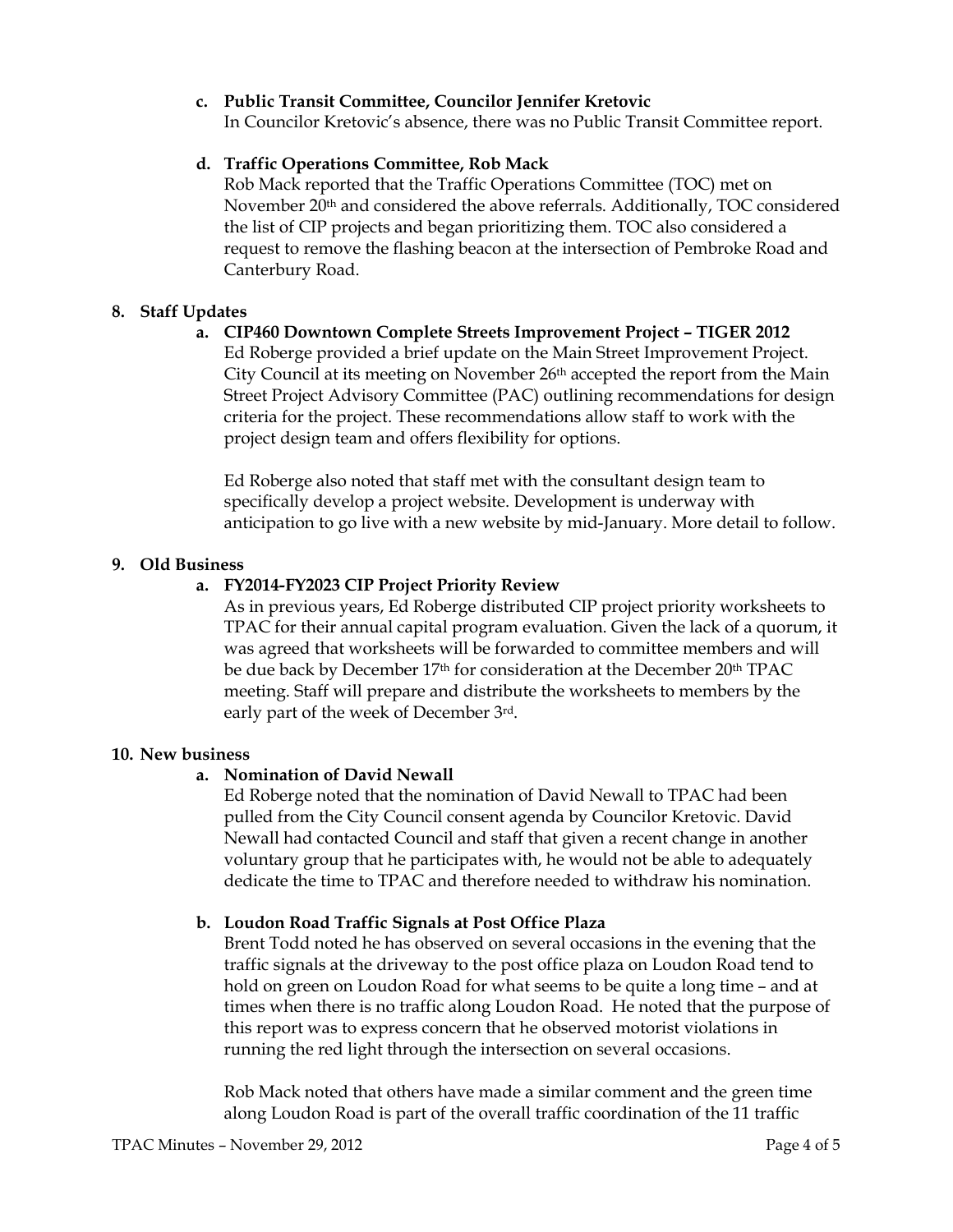# c. Public Transit Committee, Councilor Jennifer Kretovic

In Councilor Kretovic's absence, there was no Public Transit Committee report.

# d. Traffic Operations Committee, Rob Mack

Rob Mack reported that the Traffic Operations Committee (TOC) met on November 20th and considered the above referrals. Additionally, TOC considered the list of CIP projects and began prioritizing them. TOC also considered a request to remove the flashing beacon at the intersection of Pembroke Road and Canterbury Road.

## 8. Staff Updates

## a. CIP460 Downtown Complete Streets Improvement Project – TIGER 2012

Ed Roberge provided a brief update on the Main Street Improvement Project. City Council at its meeting on November  $26<sup>th</sup>$  accepted the report from the Main Street Project Advisory Committee (PAC) outlining recommendations for design criteria for the project. These recommendations allow staff to work with the project design team and offers flexibility for options.

Ed Roberge also noted that staff met with the consultant design team to specifically develop a project website. Development is underway with anticipation to go live with a new website by mid-January. More detail to follow.

## 9. Old Business

## a. FY2014-FY2023 CIP Project Priority Review

As in previous years, Ed Roberge distributed CIP project priority worksheets to TPAC for their annual capital program evaluation. Given the lack of a quorum, it was agreed that worksheets will be forwarded to committee members and will be due back by December 17<sup>th</sup> for consideration at the December 20<sup>th</sup> TPAC meeting. Staff will prepare and distribute the worksheets to members by the early part of the week of December 3rd.

#### 10. New business

# a. Nomination of David Newall

Ed Roberge noted that the nomination of David Newall to TPAC had been pulled from the City Council consent agenda by Councilor Kretovic. David Newall had contacted Council and staff that given a recent change in another voluntary group that he participates with, he would not be able to adequately dedicate the time to TPAC and therefore needed to withdraw his nomination.

#### b. Loudon Road Traffic Signals at Post Office Plaza

Brent Todd noted he has observed on several occasions in the evening that the traffic signals at the driveway to the post office plaza on Loudon Road tend to hold on green on Loudon Road for what seems to be quite a long time – and at times when there is no traffic along Loudon Road. He noted that the purpose of this report was to express concern that he observed motorist violations in running the red light through the intersection on several occasions.

Rob Mack noted that others have made a similar comment and the green time along Loudon Road is part of the overall traffic coordination of the 11 traffic